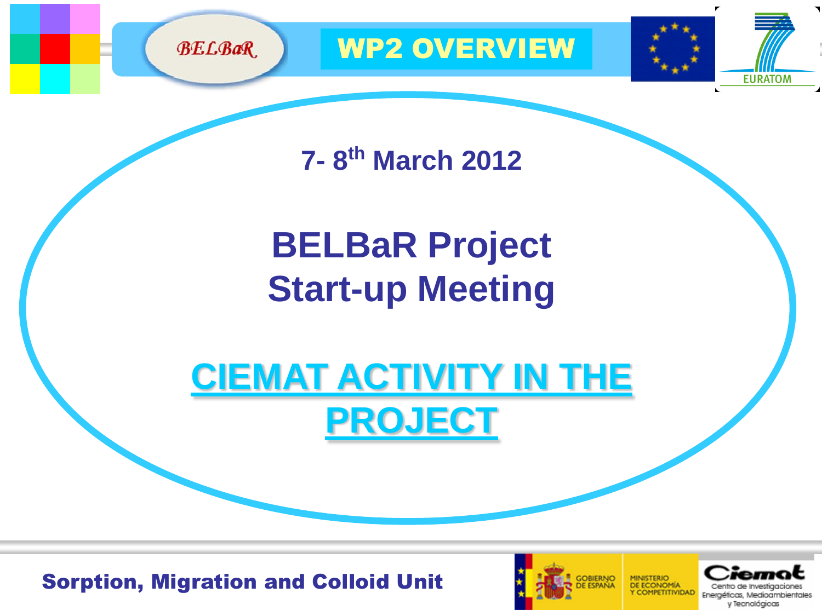

WP2 OVERVIEW

**EURATOM** 

**7- 8 th March 2012**

# **BELBaR Project Start-up Meeting**

**CIEMAT ACTIVITY IN THE PROJECT**

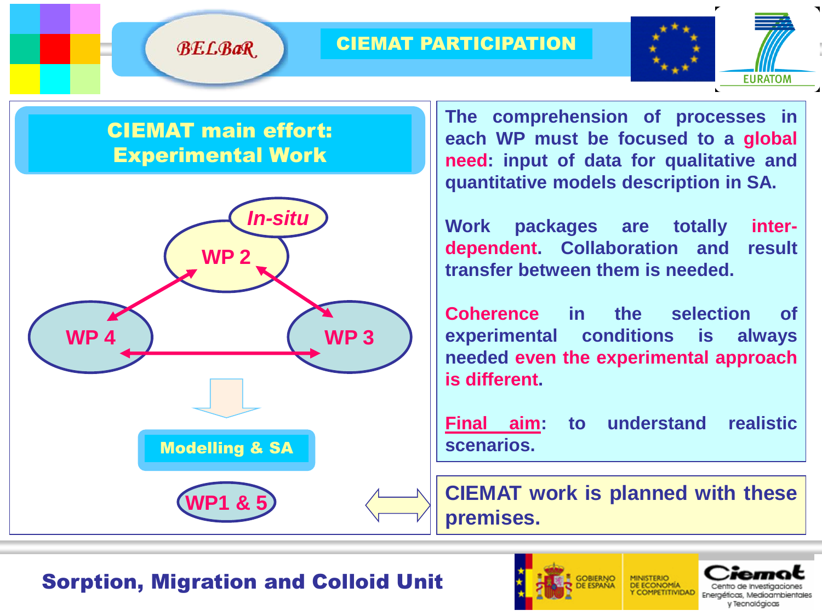#### CIEMAT PARTICIPATION



### CIEMAT main effort: Experimental Work

**BELBaR** 



**The comprehension of processes in each WP must be focused to a global need: input of data for qualitative and quantitative models description in SA.**

**Work packages are totally interdependent. Collaboration and result transfer between them is needed.**

**Coherence in the selection of experimental conditions is always needed even the experimental approach is different.**

**Final aim: to understand realistic scenarios.**

**WP1 & 5 CIEMAT work is planned with these premises.**



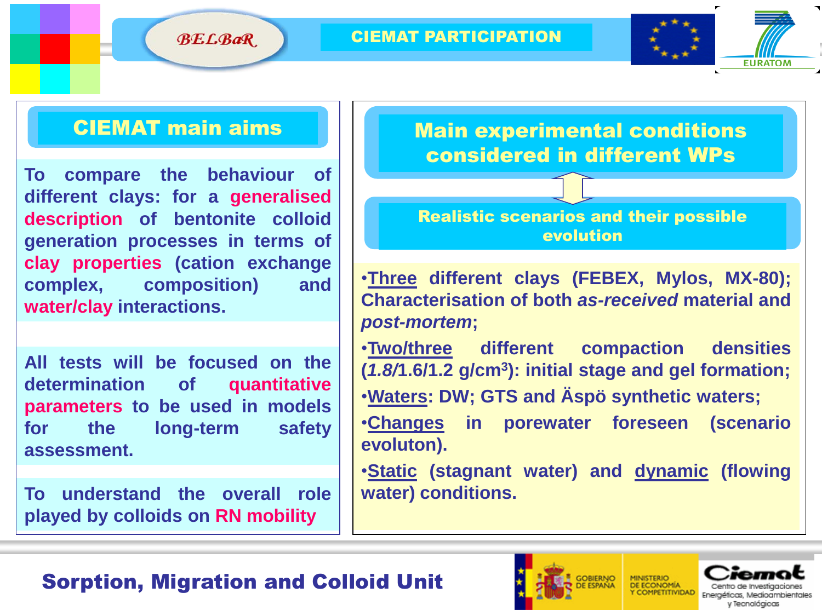**BELBaR** 

#### CIEMAT PARTICIPATION



#### CIEMAT main aims

**To compare the behaviour of different clays: for a generalised description of bentonite colloid generation processes in terms of clay properties (cation exchange complex, composition) and water/clay interactions.**

**All tests will be focused on the determination of quantitative parameters to be used in models for the long-term safety assessment.**

**To understand the overall role played by colloids on RN mobility**

Main experimental conditions considered in different WPs

Realistic scenarios and their possible evolution

•**Three different clays (FEBEX, Mylos, MX-80); Characterisation of both** *as-received* **material and** *post-mortem***;**

•**Two/three different compaction densities (***1.8/***1.6/1.2 g/cm<sup>3</sup> ): initial stage and gel formation;** •**Waters: DW; GTS and Äspö synthetic waters;**

•**Changes in porewater foreseen (scenario evoluton).**

•**Static (stagnant water) and dynamic (flowing water) conditions.**



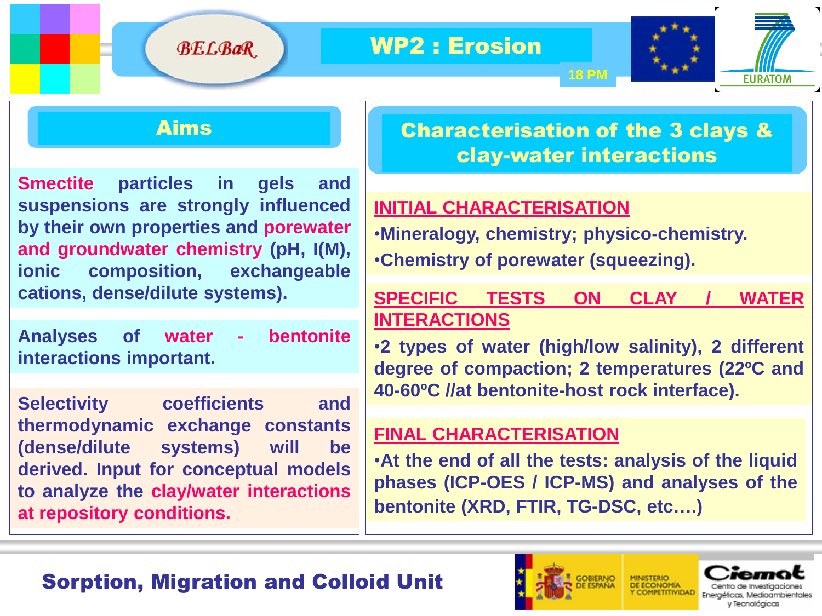



#### Aims

**Smectite particles in gels and suspensions are strongly influenced by their own properties and porewater and groundwater chemistry (pH, I(M), ionic composition, exchangeable cations, dense/dilute systems).**

**Analyses of water - bentonite interactions important.**

**Selectivity coefficients and thermodynamic exchange constants (dense/dilute systems) will be derived. Input for conceptual models to analyze the clay/water interactions at repository conditions.**

## Characterisation of the 3 clays & clay-water interactions

**18 PM**

### **INITIAL CHARACTERISATION**

•**Mineralogy, chemistry; physico-chemistry.** •**Chemistry of porewater (squeezing).**

#### **SPECIFIC TESTS ON CLAY / WATER INTERACTIONS**

•**2 types of water (high/low salinity), 2 different degree of compaction; 2 temperatures (22ºC and 40-60ºC //at bentonite-host rock interface).**

#### **FINAL CHARACTERISATION**

•**At the end of all the tests: analysis of the liquid phases (ICP-OES / ICP-MS) and analyses of the bentonite (XRD, FTIR, TG-DSC, etc….)**



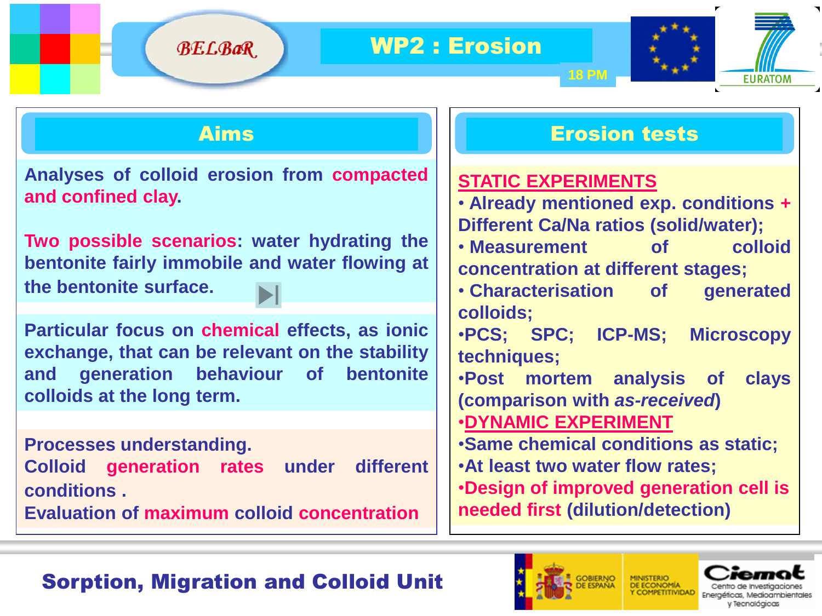



**Analyses of colloid erosion from compacted and confined clay.**

**Two possible scenarios: water hydrating the bentonite fairly immobile and water flowing at the bentonite surface.**

**Particular focus on chemical effects, as ionic exchange, that can be relevant on the stability and generation behaviour of bentonite colloids at the long term.**

**Processes understanding. Colloid generation rates under different conditions .**

**Evaluation of maximum colloid concentration**

#### Aims Erosion tests

### **STATIC EXPERIMENTS**

• **Already mentioned exp. conditions + Different Ca/Na ratios (solid/water);**

- **Measurement of colloid concentration at different stages;**
- **Characterisation of generated colloids;**

•**PCS; SPC; ICP-MS; Microscopy techniques;**

- •**Post mortem analysis of clays (comparison with** *as-received***)**
- •**DYNAMIC EXPERIMENT**
- •**Same chemical conditions as static;**
- •**At least two water flow rates;**

•**Design of improved generation cell is needed first (dilution/detection)**



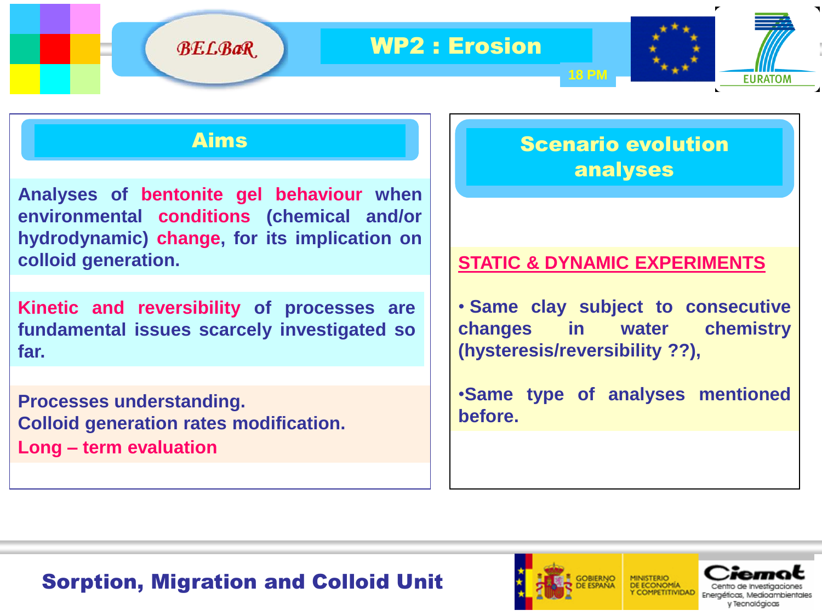

#### Aims

**Analyses of bentonite gel behaviour when environmental conditions (chemical and/or hydrodynamic) change, for its implication on colloid generation.**

**Kinetic and reversibility of processes are fundamental issues scarcely investigated so far.**

**Processes understanding. Colloid generation rates modification. Long – term evaluation**

### Scenario evolution analyses

**EURATOM** 

**18 PM**

#### **STATIC & DYNAMIC EXPERIMENTS**

• **Same clay subject to consecutive changes in water chemistry (hysteresis/reversibility ??),**

•**Same type of analyses mentioned before.**

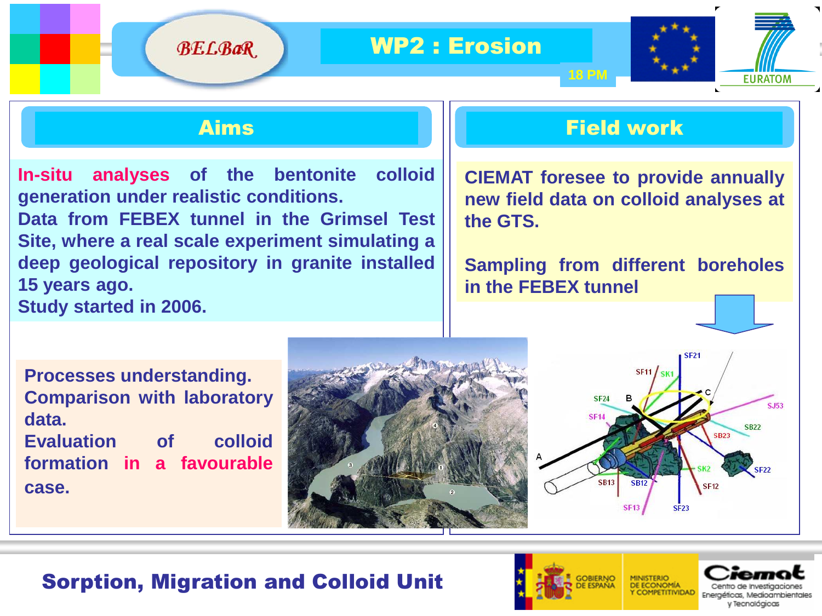

**BELBaR** 

**In-situ analyses of the bentonite colloid generation under realistic conditions. Data from FEBEX tunnel in the Grimsel Test Site, where a real scale experiment simulating a deep geological repository in granite installed 15 years ago. Study started in 2006.**

#### Aims Field work

**18 PM**

**CIEMAT foresee to provide annually new field data on colloid analyses at the GTS.**

**Sampling from different boreholes in the FEBEX tunnel**

**Processes understanding. Comparison with laboratory data. Evaluation of colloid formation in a favourable**

**case.**





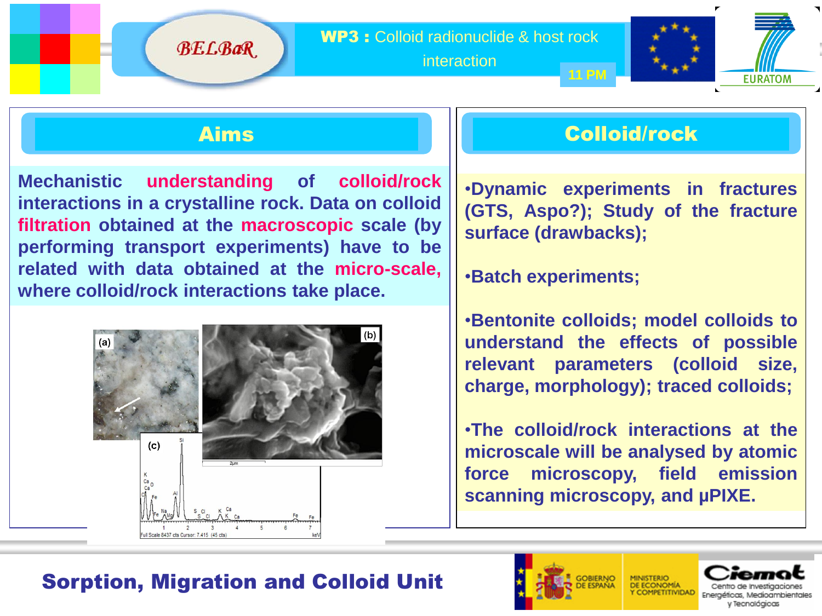WP3 : Colloid radionuclide & host rock

interaction



**BELBaR** 

**Mechanistic understanding of colloid/rock interactions in a crystalline rock. Data on colloid filtration obtained at the macroscopic scale (by performing transport experiments) have to be related with data obtained at the micro-scale, where colloid/rock interactions take place.**



### Aims Colloid/rock

•**Dynamic experiments in fractures (GTS, Aspo?); Study of the fracture surface (drawbacks);**

•**Batch experiments;**

•**Bentonite colloids; model colloids to understand the effects of possible relevant parameters (colloid size, charge, morphology); traced colloids;** 

•**The colloid/rock interactions at the microscale will be analysed by atomic force microscopy, field emission scanning microscopy, and µPIXE.**

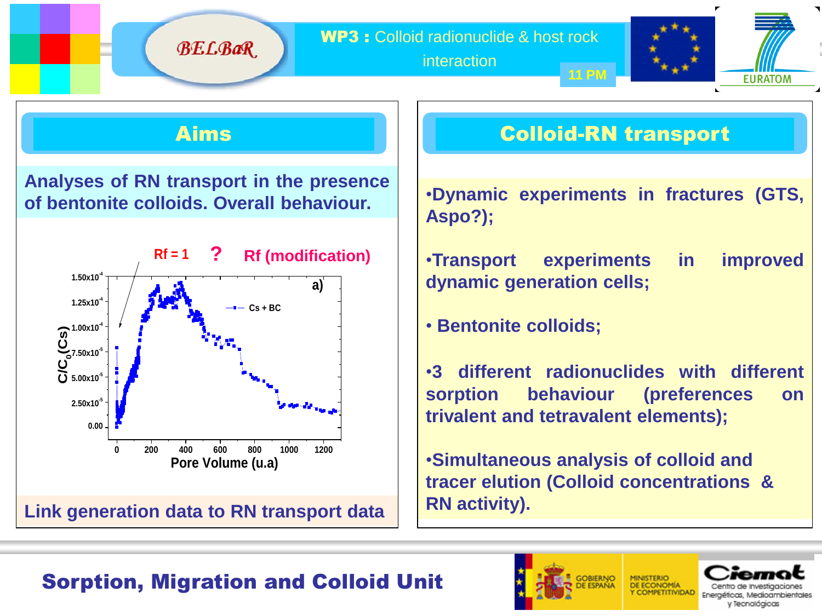WP3 : Colloid radionuclide & host rock

interaction



**BELBaR** 

**Analyses of RN transport in the presence of bentonite colloids. Overall behaviour.**



### Aims Colloid-RN transport

**11 PM**

•**Dynamic experiments in fractures (GTS, Aspo?);**

•**Transport experiments in improved dynamic generation cells;**

• **Bentonite colloids;**

•**3 different radionuclides with different sorption behaviour (preferences on trivalent and tetravalent elements);**

•**Simultaneous analysis of colloid and tracer elution (Colloid concentrations & RN activity).** 

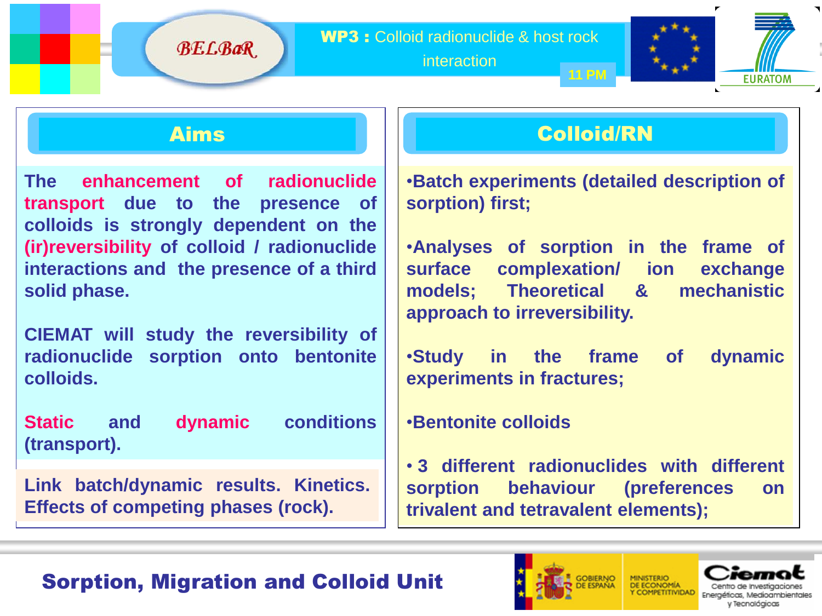interaction



**BELBaR** 

**The enhancement of radionuclide transport due to the presence of colloids is strongly dependent on the (ir)reversibility of colloid / radionuclide interactions and****the presence of a third solid phase.**

**CIEMAT will study the reversibility of radionuclide sorption onto bentonite colloids.**

**Static and dynamic conditions (transport).**

**Link batch/dynamic results. Kinetics. Effects of competing phases (rock).**

## Aims Colloid/RN

•**Batch experiments (detailed description of sorption) first;**

•**Analyses of sorption in the frame of surface complexation/ ion exchange models; Theoretical & mechanistic approach to irreversibility.**

•**Study in the frame of dynamic experiments in fractures;**

#### •**Bentonite colloids**

• **3 different radionuclides with different sorption behaviour (preferences on trivalent and tetravalent elements);**



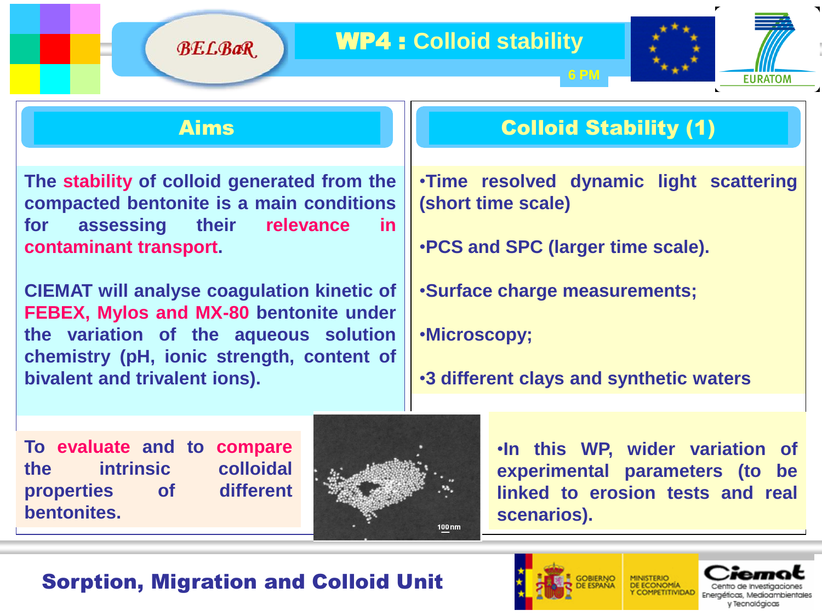### WP4 : **Colloid stability**



**BELBaR** 

**The stability of colloid generated from the compacted bentonite is a main conditions for assessing their relevance in contaminant transport.**

**CIEMAT will analyse coagulation kinetic of FEBEX, Mylos and MX-80 bentonite under the variation of the aqueous solution chemistry (pH, ionic strength, content of bivalent and trivalent ions).**

## Aims Colloid Stability (1)

**6 PM**

•**Time resolved dynamic light scattering (short time scale)**

•**PCS and SPC (larger time scale).**

•**Surface charge measurements;**

•**Microscopy;**

•**3 different clays and synthetic waters**

**To evaluate and to compare the intrinsic colloidal properties of different bentonites.**



•**In this WP, wider variation of experimental parameters (to be linked to erosion tests and real scenarios).**

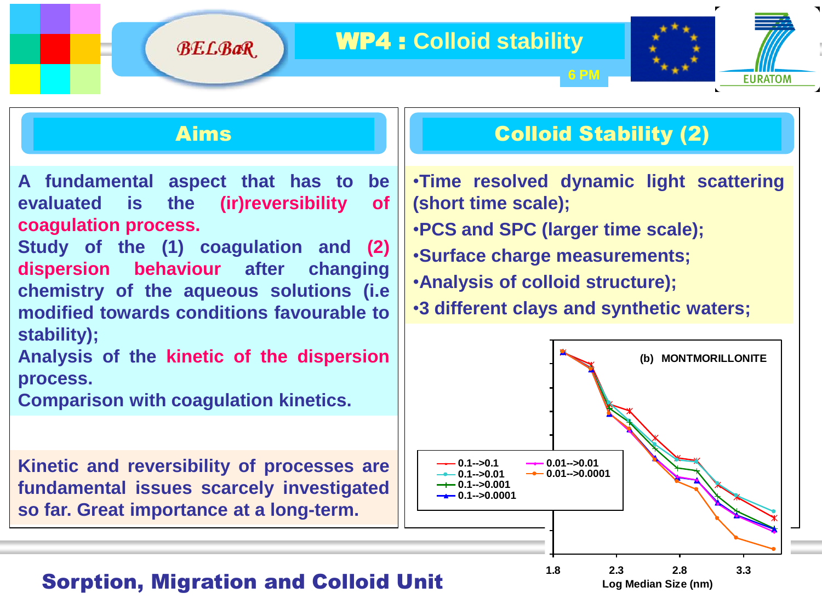#### WP4 : **Colloid stability**



**BELBaR** 

**A fundamental aspect that has to be evaluated is the (ir)reversibility of coagulation process.**

**Study of the (1) coagulation and (2) dispersion behaviour after changing chemistry of the aqueous solutions (i.e** 4 **modified towards conditions favourable to** 2 **stability);**

**Analysis of the kinetic of the dispersion** 4 -2 **process.**

**Comparison with coagulation kinetics.** 

**Kinetic and reversibility of processes are** -2 **fundamental issues scarcely investigated so far. Great importance at a long-term.** -4

### Aims Colloid Stability (2)

**EURATOM** 

**6 PM**

•**Time resolved dynamic light scattering (short time scale);**

•**PCS and SPC (larger time scale);**

•**Surface charge measurements;**

•**Analysis of colloid structure);**

**•3** different clays and synthetic waters;



#### **Sorption, Migration and Colloid Unit** 1.50 2.00 2.50 3.00 3.50 4.00

-6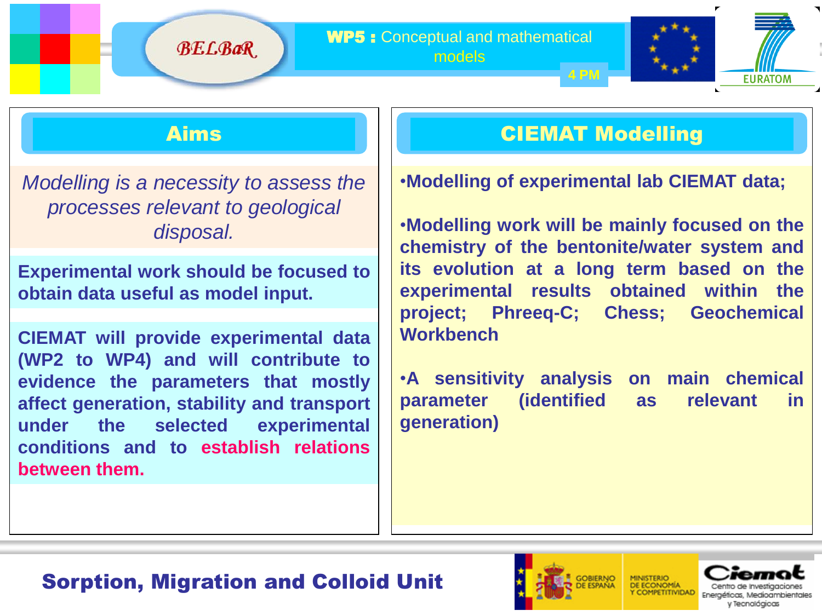

**BELBaR** 

*Modelling is a necessity to assess the processes relevant to geological disposal.*

**Experimental work should be focused to obtain data useful as model input.**

**CIEMAT will provide experimental data (WP2 to WP4) and will contribute to evidence the parameters that mostly affect generation, stability and transport under the selected experimental conditions and to establish relations between them.**

## Aims CIEMAT Modelling

•**Modelling of experimental lab CIEMAT data;**

•**Modelling work will be mainly focused on the chemistry of the bentonite/water system and its evolution at a long term based on the experimental results obtained within the project; Phreeq-C; Chess; Geochemical Workbench**

•**A sensitivity analysis on main chemical parameter (identified as relevant in generation)**

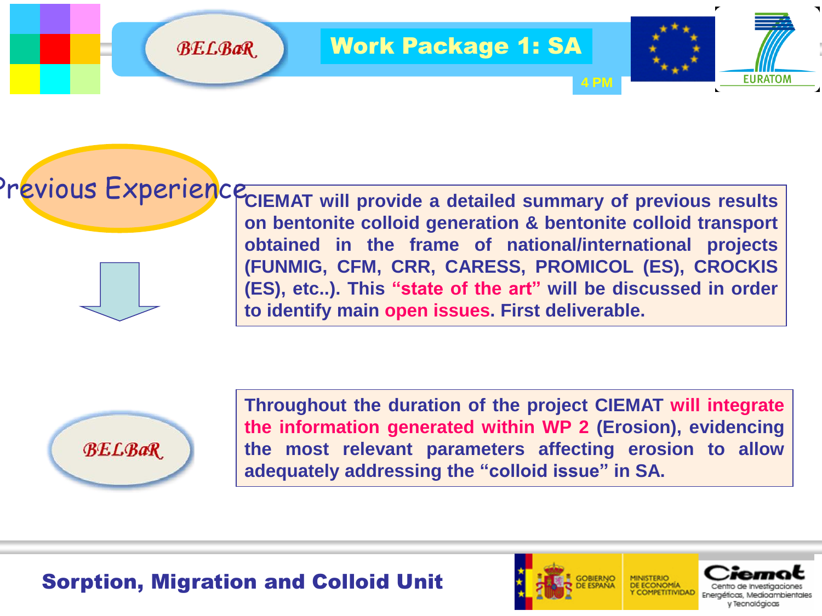



**BELBaR** 

**CIEMAT will provide a detailed summary of previous results** Previous Experience**on bentonite colloid generation & bentonite colloid transport obtained in the frame of national/international projects (FUNMIG, CFM, CRR, CARESS, PROMICOL (ES), CROCKIS (ES), etc..). This "state of the art" will be discussed in order to identify main open issues. First deliverable.**

**4 PM**



**Throughout the duration of the project CIEMAT will integrate the information generated within WP 2 (Erosion), evidencing the most relevant parameters affecting erosion to allow adequately addressing the "colloid issue" in SA.**